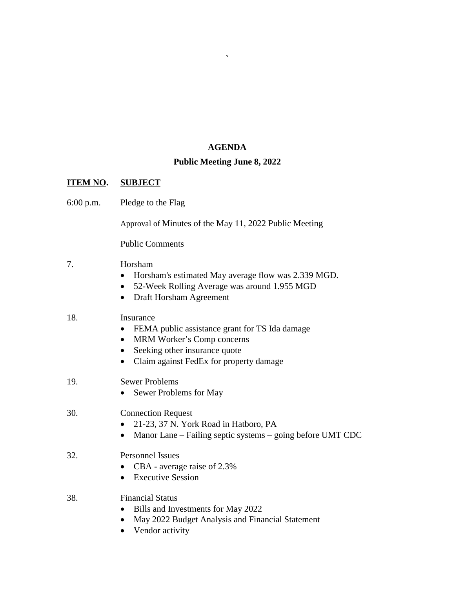## **AGENDA**

**`**

### **Public Meeting June 8, 2022**

## **ITEM NO. SUBJECT**

6:00 p.m. Pledge to the Flag

Approval of Minutes of the May 11, 2022 Public Meeting

Public Comments

## 7. Horsham

- Horsham's estimated May average flow was 2.339 MGD.
- 52-Week Rolling Average was around 1.955 MGD
- Draft Horsham Agreement

### 18. Insurance

- FEMA public assistance grant for TS Ida damage
- MRM Worker's Comp concerns
- Seeking other insurance quote
- Claim against FedEx for property damage

## 19. Sewer Problems

• Sewer Problems for May

# 30. Connection Request

- 21-23, 37 N. York Road in Hatboro, PA
- Manor Lane Failing septic systems going before UMT CDC

### 32. Personnel Issues

- CBA average raise of 2.3%
- Executive Session

# 38. Financial Status

- Bills and Investments for May 2022
- May 2022 Budget Analysis and Financial Statement
- Vendor activity